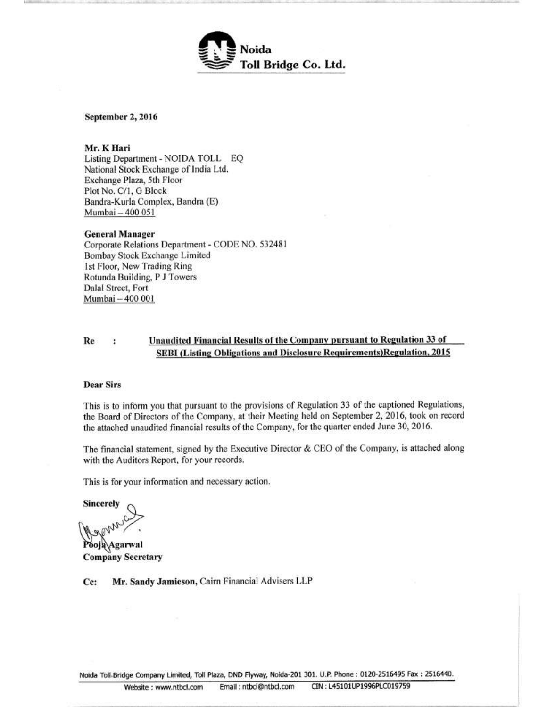

September 2, 2016

### Mr. K Hari

Listing Department - NOIDA TOLL EQ National Stock Exchange of India Ltd. Exchange Plaza, 5th Floor Plot No. C/1, G Block Bandra-Kurla Complex, Bandra (E) Mumbai - 400 051

### **General Manager**

Corporate Relations Department - CODE NO. 532481 Bombay Stock Exchange Limited 1st Floor, New Trading Ring Rotunda Building, P J Towers Dalal Street, Fort Mumbai - 400 001

#### Unaudited Financial Results of the Company pursuant to Regulation 33 of Re  $\ddot{\phantom{a}}$ SEBI (Listing Obligations and Disclosure Requirements) Regulation, 2015

#### **Dear Sirs**

This is to inform you that pursuant to the provisions of Regulation 33 of the captioned Regulations, the Board of Directors of the Company, at their Meeting held on September 2, 2016, took on record the attached unaudited financial results of the Company, for the quarter ended June 30, 2016.

The financial statement, signed by the Executive Director & CEO of the Company, is attached along with the Auditors Report, for your records.

This is for your information and necessary action.

Sincerely

Pooja Agarwal **Company Secretary** 

Mr. Sandy Jamieson, Cairn Financial Advisers LLP Cc:

Noida Toll Bridge Company Limited, Toll Plaza, DND Flyway, Noida-201 301. U.P. Phone : 0120-2516495 Fax : 2516440.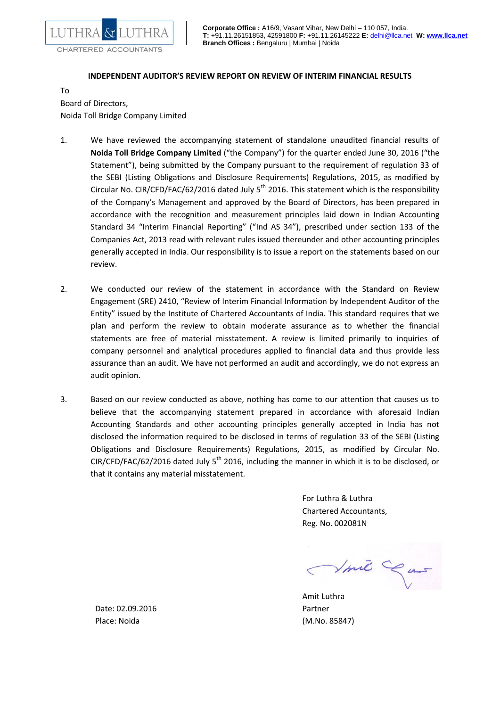

## **INDEPENDENT AUDITOR'S REVIEW REPORT ON REVIEW OF INTERIM FINANCIAL RESULTS**

To Board of Directors, Noida Toll Bridge Company Limited

- 1. We have reviewed the accompanying statement of standalone unaudited financial results of **Noida Toll Bridge Company Limited** ("the Company") for the quarter ended June 30, 2016 ("the Statement"), being submitted by the Company pursuant to the requirement of regulation 33 of the SEBI (Listing Obligations and Disclosure Requirements) Regulations, 2015, as modified by Circular No. CIR/CFD/FAC/62/2016 dated July  $5<sup>th</sup>$  2016. This statement which is the responsibility of the Company's Management and approved by the Board of Directors, has been prepared in accordance with the recognition and measurement principles laid down in Indian Accounting Standard 34 "Interim Financial Reporting" ("Ind AS 34"), prescribed under section 133 of the Companies Act, 2013 read with relevant rules issued thereunder and other accounting principles generally accepted in India. Our responsibility is to issue a report on the statements based on our review.
- 2. We conducted our review of the statement in accordance with the Standard on Review Engagement (SRE) 2410, "Review of Interim Financial Information by Independent Auditor of the Entity" issued by the Institute of Chartered Accountants of India. This standard requires that we plan and perform the review to obtain moderate assurance as to whether the financial statements are free of material misstatement. A review is limited primarily to inquiries of company personnel and analytical procedures applied to financial data and thus provide less assurance than an audit. We have not performed an audit and accordingly, we do not express an audit opinion.
- 3. Based on our review conducted as above, nothing has come to our attention that causes us to believe that the accompanying statement prepared in accordance with aforesaid Indian Accounting Standards and other accounting principles generally accepted in India has not disclosed the information required to be disclosed in terms of regulation 33 of the SEBI (Listing Obligations and Disclosure Requirements) Regulations, 2015, as modified by Circular No. CIR/CFD/FAC/62/2016 dated July 5<sup>th</sup> 2016, including the manner in which it is to be disclosed, or that it contains any material misstatement.

For Luthra & Luthra Chartered Accountants, Reg. No. 002081N

Vmit Cas

Amit Luthra

Date: 02.09.2016 **Partner** Place: Noida (M.No. 85847)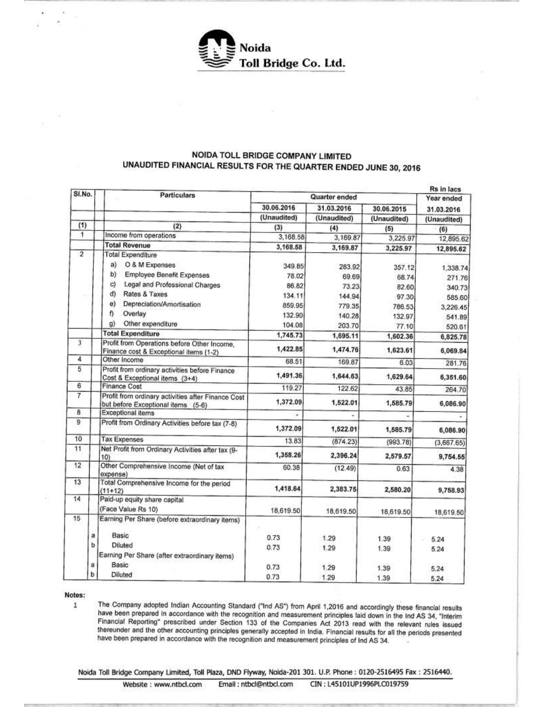

# NOIDA TOLL BRIDGE COMPANY LIMITED UNAUDITED FINANCIAL RESULTS FOR THE QUARTER ENDED JUNE 30, 2016

| SI.No.         | <b>Particulars</b>                                                                       | Quarter ended            |             |             | Rs in lacs<br>Year ended |
|----------------|------------------------------------------------------------------------------------------|--------------------------|-------------|-------------|--------------------------|
|                |                                                                                          | 30.06.2016<br>31.03.2016 |             | 30.06.2015  | 31.03.2016               |
|                |                                                                                          | (Unaudited)              | (Unaudited) | (Unaudited) | (Unaudited)              |
| (1)            | (2)                                                                                      | (3)                      | (4)         | (5)         | (6)                      |
| $\overline{1}$ | Income from operations                                                                   | 3,168.58                 | 3,169.87    | 3,225.97    | 12,895.62                |
|                | <b>Total Revenue</b>                                                                     | 3,168.58                 | 3,169.87    | 3,225.97    | 12,895.62                |
| $\overline{2}$ | <b>Total Expenditure</b>                                                                 |                          |             |             |                          |
|                | O & M Expenses<br>a)                                                                     | 349.85                   | 283.92      | 357.12      | 1,338.74                 |
|                | b)<br>Employee Benefit Expenses                                                          | 78.02                    | 69.69       | 68.74       | 271.76                   |
|                | C)<br>Legal and Professional Charges                                                     | 86.82                    | 73.23       | 82.60       | 340.73                   |
|                | d)<br>Rates & Taxes                                                                      | 134.11                   | 144.94      | 97.30       | 585.60                   |
|                | e)<br>Depreciation/Amortisation                                                          | 859.95                   | 779.35      | 786.53      | 3,226.45                 |
|                | f)<br>Overlay                                                                            | 132.90                   | 140.28      | 132.97      | 541.89                   |
|                | g)<br>Other expenditure                                                                  | 104.08                   | 203.70      | 77.10       | 520.61                   |
|                | <b>Total Expenditure</b>                                                                 | 1,745.73                 | 1,695.11    | 1,602.36    | 6,825.78                 |
| $\overline{3}$ | Profit from Operations before Other Income,<br>Finance cost & Exceptional items (1-2)    | 1,422.85                 | 1,474.76    | 1,623.61    | 6,069.84                 |
| 4              | Other Income                                                                             | 68.51                    | 169.87      | 6.03        | 281.76                   |
| 5              | Profit from ordinary activities before Finance<br>Cost & Exceptional items (3+4)         | 1,491.36                 | 1,644.63    | 1,629.64    | 6,351.60                 |
| 6              | <b>Finance Cost</b>                                                                      | 119.27                   | 122.62      | 43.85       | 264.70                   |
| 7              | Profit from ordinary activities after Finance Cost<br>but before Exceptional items (5-6) | 1,372.09                 | 1,522.01    | 1,585.79    | 6,086.90                 |
| 8              | <b>Exceptional items</b>                                                                 |                          |             |             |                          |
| 9              | Profit from Ordinary Activities before tax (7-8)                                         | 1,372.09                 | 1,522.01    | 1,585.79    | 6,086.90                 |
| 10             | <b>Tax Expenses</b>                                                                      | 13.83                    | (874.23)    | (993.78)    | (3,667.65)               |
| 11             | Net Profit from Ordinary Activities after tax (9-<br>10)                                 | 1,358.26                 | 2,396.24    | 2,579.57    | 9,754.55                 |
| 12             | Other Comprehensive Income (Net of tax<br>expense)                                       | 60.38                    | (12.49)     | 0.63        | 4.38                     |
| 13             | Total Comprehensive Income for the period<br>$(11+12)$                                   | 1,418.64                 | 2,383.75    | 2,580.20    | 9,758.93                 |
| 14             | Paid-up equity share capital<br>(Face Value Rs 10)                                       | 18,619.50                | 18,619.50   | 18,619.50   | 18,619.50                |
| 15             | Earning Per Share (before extraordinary items)                                           |                          |             |             |                          |
|                | Basic<br>a                                                                               | 0.73                     | 1.29        | 1.39        | 5.24                     |
|                | b<br><b>Diluted</b>                                                                      | 0.73                     | 1.29        | 1.39        | 5.24                     |
|                | Earning Per Share (after extraordinary items)                                            |                          |             |             |                          |
|                | Basic<br>а                                                                               | 0.73                     | 1.29        | 1.39        | 5.24                     |
|                | ь<br>Diluted                                                                             | 0.73                     | 1.29        | 1.39        | 5.24                     |

Notes:

The Company adopted Indian Accounting Standard ("Ind AS") from April 1,2016 and accordingly these financial results  $\mathbf{1}$ have been prepared in accordance with the recognition and measurement principles laid down in the Ind AS 34, "Interim Financial Reporting" prescribed under Section 133 of the Companies Act 2013 read with the relevant rules issued thereunder and the other accounting principles generally accepted in India. Financial results for all the periods presented have been prepared in accordance with the recognition and measurement principles of Ind AS 34.

Noida Toll Bridge Company Limited, Toll Plaza, DND Flyway, Noida-201 301. U.P. Phone : 0120-2516495 Fax : 2516440.